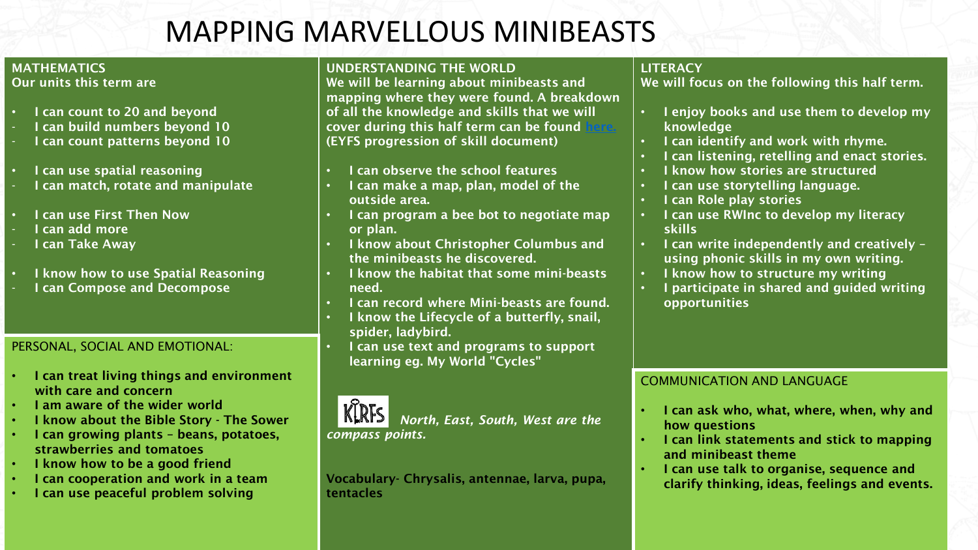# MAPPING MARVELLOUS MINIBEASTS

## MATHEMATICS

Our units this term are

- **I can count to 20 and beyond**
- I can build numbers beyond 10
- I can count patterns beyond 10
- I can use spatial reasoning
- I can match, rotate and manipulate
- I can use First Then Now
- I can add more
- I can Take Away
- I know how to use Spatial Reasoning
- I can Compose and Decompose

### PERSONAL, SOCIAL AND EMOTIONAL:

- I can treat living things and environment with care and concern
- I am aware of the wider world
- I know about the Bible Story The Sower
- I can growing plants beans, potatoes, strawberries and tomatoes
- I know how to be a good friend
- I can cooperation and work in a team
- I can use peaceful problem solving

#### UNDERSTANDING THE WORLD

We will be learning about minibeasts and mapping where they were found. A breakdown of all the knowledge and skills that we will cover during this half term can be found (EYFS progression of skill document)

- I can observe the school features
- I can make a map, plan, model of the outside area.
- I can program a bee bot to negotiate map or plan.
- I know about Christopher Columbus and the minibeasts he discovered.
- I know the habitat that some mini-beasts need.
- I can record where Mini-beasts are found.
- I know the Lifecycle of a butterfly, snail, spider, ladybird.
- I can use text and programs to support learning eg. My World "Cycles"



*North, East, South, West are the* 

#### Vocabulary- Chrysalis, antennae, larva, pupa, tentacles

## **LITERACY**

We will focus on the following this half term.

- I enjoy books and use them to develop my knowledge
- I can identify and work with rhyme.
- I can listening, retelling and enact stories.
- I know how stories are structured
- I can use storytelling language.
- I can Role play stories
- I can use RWInc to develop my literacy skills
- I can write independently and creatively using phonic skills in my own writing.
- I know how to structure my writing
- I participate in shared and guided writing opportunities

## COMMUNICATION AND LANGUAGE

- I can ask who, what, where, when, why and how questions
- I can link statements and stick to mapping and minibeast theme
- I can use talk to organise, sequence and clarify thinking, ideas, feelings and events.